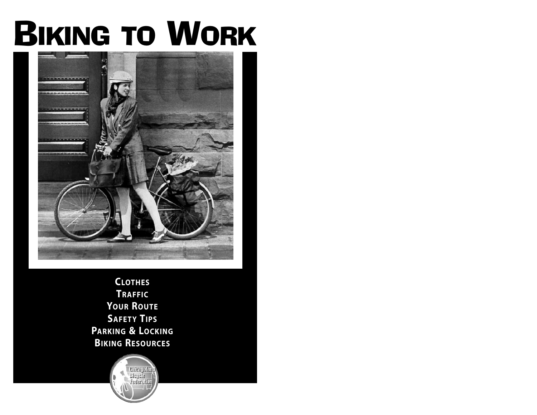# BIKING TO WORK



**CLOTHES TRAFFIC YOUR ROUTE SAFETY TIPS PARKING & LOCKING BIKING RESOURCES**

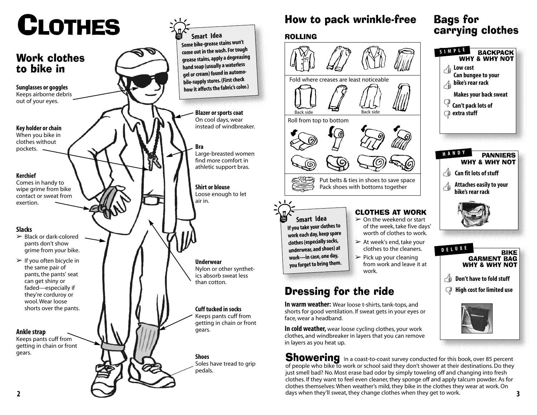# **CLOTHES**

#### Work clothes to bike in **Sunglasses or goggles** Keeps airborne debris out of your eyes. **Key holder or chain** When you bike in clothes without pockets. **Kerchief** Comes in handy to wipe grime from bike contact or sweat from exertion. **Slacks**  $\triangleright$  Black or dark-colored pants don't show grime from your bike.  $\triangleright$  If you often bicycle in the same pair of pants, the pants' seat can get shiny or faded—especially if they're corduroy or wool. Wear loose shorts over the pants. **Ankle strap** Keeps pants cuff from getting in chain or front gears. **Blazer or sports coat** On cool days, wear instead of windbreaker. **Bra** Large-breasted women find more comfort in athletic support bras. **Shirt or blouse** Loose enough to let air in. **Underwear** Nylon or other synthetics absorb sweat less than cotton. **Cuff tucked in socks** Keeps pants cuff from getting in chain or front gears. **Shoes** Soles have tread to grip pedals. **Smart Idea Some bike-grease stains won't come out in the wash. For tough grease stains, apply a degreasing hand soap (usually a waterless gel or cream) found in automo bile-supply stores. (First check how it affects the fabric's color.)**

## How to pack wrinkle-free

### ROLLING



## Bags for carrying clothes

**BACKPACK** 



**Showering** In a coast-to-coast survey conducted for this book, over 85 percent of people who bike to work or school said they don't shower at their destinations. Do they just smell bad? No. Most erase bad odor by simply toweling off and changing into fresh clothes. If they want to feel even cleaner, they sponge off and apply talcum powder. As for clothes themselves: When weather's mild, they bike in the clothes they wear at work. On days when they'll sweat, they change clothes when they get to work.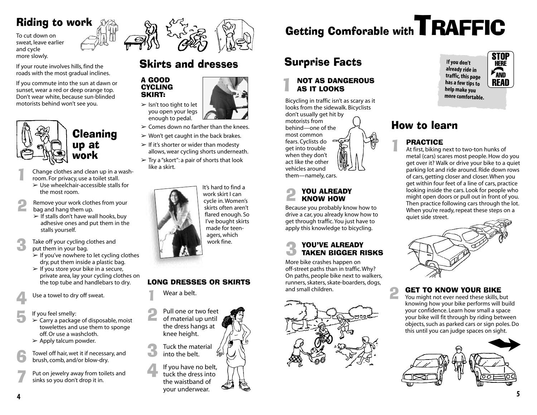## Riding to work

To cut down on sweat, leave earlier and cycle more slowly.

If your route involves hills, find the roads with the most gradual inclines.

If you commute into the sun at dawn or sunset, wear a red or deep orange top. Don't wear white, because sun-blinded motorists behind won't see you.



**Cleaning** up at work

Change clothes and clean up in a wash-<br>room. For privacy, use a toilet stall.

- $\triangleright$  Use wheelchair-accessible stalls for the most room.
- Remove your work clothes from your<br>bag and hang them up.
	- $\triangleright$  If stalls don't have wall hooks, buy adhesive ones and put them in the stalls yourself.

Take off your cycling clothes and put them in your bag.

- $\geq$  If you've nowhere to let cycling clothes dry, put them inside a plastic bag.
- $\triangleright$  If you store your bike in a secure, private area, lay your cycling clothes on the top tube and handlebars to dry.

Use a towel to dry off sweat.

- If you feel smelly:  $\geq$  Carry a package of disposable, moist towelettes and use them to sponge off. Or use a washcloth.
- $\triangleright$  Apply talcum powder.
- Towel off hair, wet it if necessary, and brush, comb, and/or blow-dry.

Put on jewelry away from toilets and<br>sinks so you don't drop it in.



## Skirts and dresses

#### A GOOD **CYCLING** SKIRT:



- $\geq$  Comes down no farther than the knees.
- $\triangleright$  Won't get caught in the back brakes.
- $\geq$  If it's shorter or wider than modesty allows, wear cycling shorts underneath.
- $\triangleright$  Try a "skort": a pair of shorts that look like a skirt.



work skirt I can cycle in. Women's skirts often aren't flared enough. So I've bought skirts made for teenagers, which work fine.

### LONG DRESSES OR SKIRTS

Wear a belt.

Pull one or two feet<br>of material up until the dress hangs at knee height. Tuck the material<br>into the belt.

If you have no belt,<br>tuck the dress into the waistband of your underwear.

# Getting Comforable with **TRAFFIC**

## Surprise Facts

## 1 NOT AS DANGEROUS AS IT LOOKS

Bicycling in traffic isn't as scary as it looks from the sidewalk. Bicyclists don't usually get hit by motorists from behind—one of the most common fears. Cyclists do get into trouble when they don't act like the other vehicles around them—namely, cars.

## YOU ALREADY<br>KNOW HOW

Because you probably know how to drive a car, you already know how to get through traffic. You just have to apply this knowledge to bicycling.

## **3 YOU'VE ALREADY<br>3 TAKEN BIGGER RISKS**

More bike crashes happen on off-street paths than in traffic. Why? On paths, people bike next to walkers, runners, skaters, skate-boarders, dogs, and small children.



**If you don't already ride in traffic, this page has a few tips to help make you more comfortable.** **STOP** Here  $\sqrt{m}$ **READ** 

## How to learn

**PRACTICE**<br>At first, biking next to two-ton hunks of metal (cars) scares most people. How do you get over it? Walk or drive your bike to a quiet parking lot and ride around. Ride down rows of cars, getting closer and closer. When you get within four feet of a line of cars, practice looking inside the cars. Look for people who might open doors or pull out in front of you. Then practice following cars through the lot. When you're ready, repeat these steps on a quiet side street.



## **2 GET TO KNOW YOUR BIKE**<br>You might not ever need these skills, but

knowing how your bike performs will build your confidence. Learn how small a space your bike will fit through by riding between objects, such as parked cars or sign poles. Do this until you can judge spaces on sight.



**4**

**5**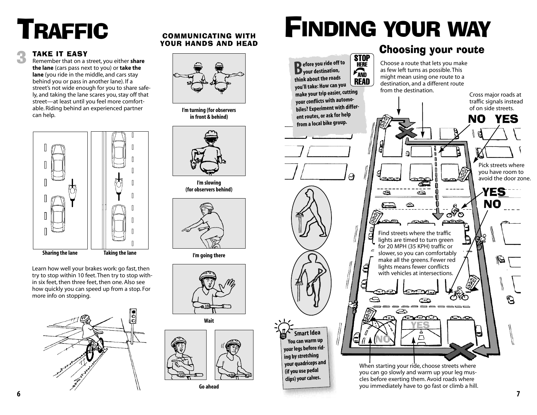# TRAFFIC COMMUNICATING WITH

**TAKE IT EASY**<br>**Remember that on a street, you either share the lane** (cars pass next to you) or **take the lane** (you ride in the middle, and cars stay behind you or pass in another lane). If a street's not wide enough for you to share safely, and taking the lane scares you, stay off that street—at least until you feel more comfortable. Riding behind an experienced partner can help.



Learn how well your brakes work: go fast, then try to stop within 10 feet. Then try to stop within six feet, then three feet, then one. Also see how quickly you can speed up from a stop. For more info on stopping.



## YOUR HANDS AND HEAD



**I'm turning (for observers in front & behind)**



**I'm slowing (for observers behind)**



**I'm going there**





**Go ahead**

# FINDING YOUR WAY

### Choosing your route

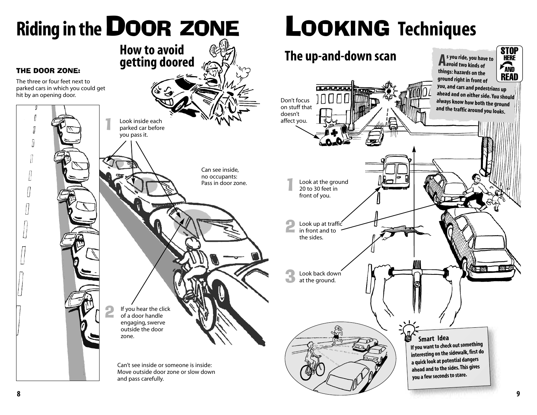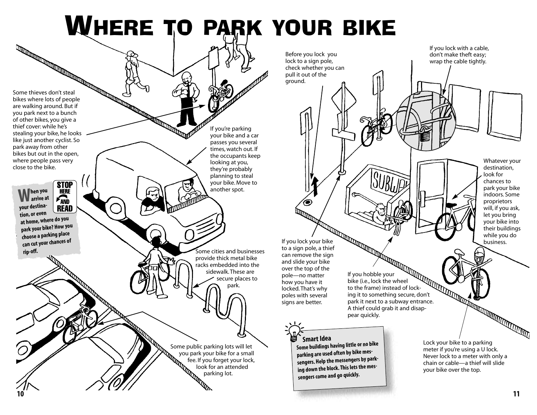# WHERE TO PARK YOUR BIKE

Some thieves don't steal bikes where lots of people are walking around. But if you park next to a bunch of other bikes, you give a thief cover: while he's stealing your bike, he looks like just another cyclist. So park away from other bikes but out in the open, where people pass very close to the bike.

**STOP** 

**When you arrive at HERE**  $\mathcal{F}_{\text{AND}}$ **your destina- READ** tion, or even<br>at home, where do you **at home, where do you park your bike? How you choose a parking place can cut your chances of rip-off.**

**10**

If you're parking your bike and a car passes you several times, watch out. If the occupants keep looking at you, they're probably planning to steal your bike. Move to another spot.

Some cities and businesses provide thick metal bike racks embedded into the sidewalk. These are secure places to park.

Some public parking lots will let<br>you park your bike for a small<br>fee. If you forget your lock<br>look for an attended<br>parking lot. you park your bike for a small fee. If you forget your lock, look for an attended parking lot.



**sengers come and go quickly.**